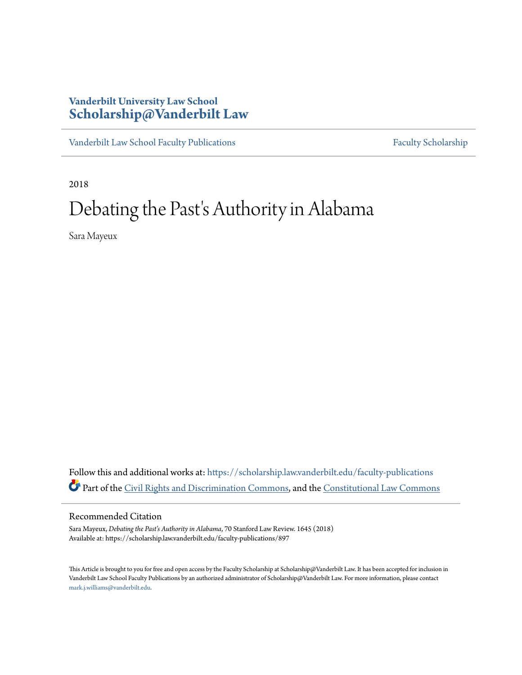# **Vanderbilt University Law School [Scholarship@Vanderbilt Law](https://scholarship.law.vanderbilt.edu?utm_source=scholarship.law.vanderbilt.edu%2Ffaculty-publications%2F897&utm_medium=PDF&utm_campaign=PDFCoverPages)**

[Vanderbilt Law School Faculty Publications](https://scholarship.law.vanderbilt.edu/faculty-publications?utm_source=scholarship.law.vanderbilt.edu%2Ffaculty-publications%2F897&utm_medium=PDF&utm_campaign=PDFCoverPages) [Faculty Scholarship](https://scholarship.law.vanderbilt.edu/faculty-scholarship?utm_source=scholarship.law.vanderbilt.edu%2Ffaculty-publications%2F897&utm_medium=PDF&utm_campaign=PDFCoverPages)

2018

# Debating the Past's Authority in Alabama

Sara Mayeux

Follow this and additional works at: [https://scholarship.law.vanderbilt.edu/faculty-publications](https://scholarship.law.vanderbilt.edu/faculty-publications?utm_source=scholarship.law.vanderbilt.edu%2Ffaculty-publications%2F897&utm_medium=PDF&utm_campaign=PDFCoverPages) Part of the [Civil Rights and Discrimination Commons,](http://network.bepress.com/hgg/discipline/585?utm_source=scholarship.law.vanderbilt.edu%2Ffaculty-publications%2F897&utm_medium=PDF&utm_campaign=PDFCoverPages) and the [Constitutional Law Commons](http://network.bepress.com/hgg/discipline/589?utm_source=scholarship.law.vanderbilt.edu%2Ffaculty-publications%2F897&utm_medium=PDF&utm_campaign=PDFCoverPages)

# Recommended Citation

Sara Mayeux, *Debating the Past's Authority in Alabama*, 70 Stanford Law Review. 1645 (2018) Available at: https://scholarship.law.vanderbilt.edu/faculty-publications/897

This Article is brought to you for free and open access by the Faculty Scholarship at Scholarship@Vanderbilt Law. It has been accepted for inclusion in Vanderbilt Law School Faculty Publications by an authorized administrator of Scholarship@Vanderbilt Law. For more information, please contact [mark.j.williams@vanderbilt.edu](mailto:mark.j.williams@vanderbilt.edu).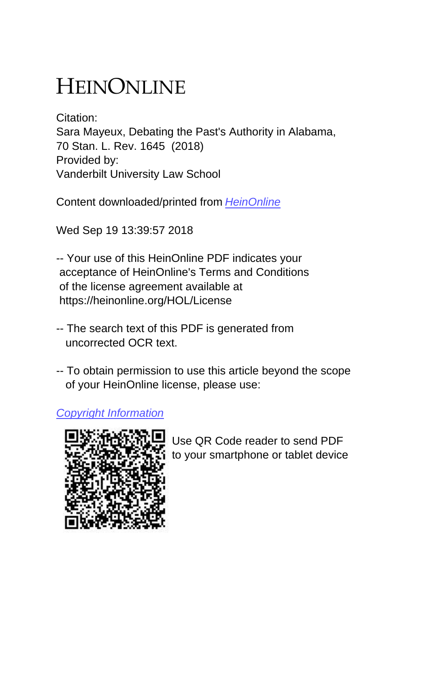# HEINONLINE

Citation: Sara Mayeux, Debating the Past's Authority in Alabama, 70 Stan. L. Rev. 1645 (2018) Provided by: Vanderbilt University Law School

Content downloaded/printed from [HeinOnline](https://heinonline.org/HOL/Page?handle=hein.journals/stflr70&collection=journals&id=1679&startid=&endid=1686)

Wed Sep 19 13:39:57 2018

-- Your use of this HeinOnline PDF indicates your acceptance of HeinOnline's Terms and Conditions of the license agreement available at https://heinonline.org/HOL/License

- -- The search text of this PDF is generated from uncorrected OCR text.
- -- To obtain permission to use this article beyond the scope of your HeinOnline license, please use:

[Copyright Information](https://www.copyright.com/ccc/basicSearch.do?operation=go&searchType=0&lastSearch=simple&all=on&titleOrStdNo=0038-9765)



 Use QR Code reader to send PDF to your smartphone or tablet device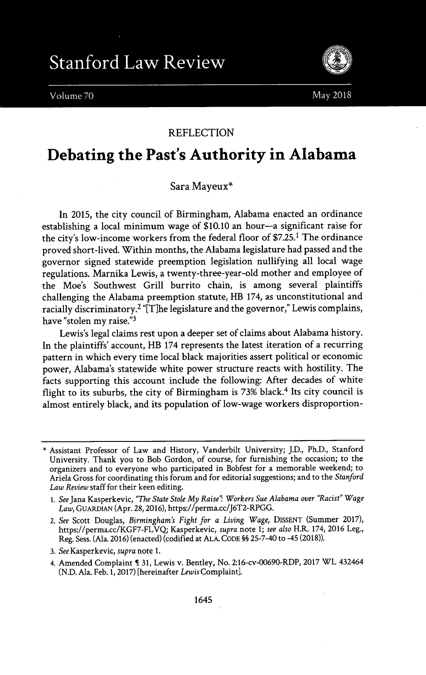Volume 70



May 2018

## REFLECTION

# **Debating the Past's Authority in Alabama**

# Sara Mayeux'

In **2015,** the city council of Birmingham, Alabama enacted an ordinance establishing a local minimum wage of **\$10.10** an hour-a significant raise for the city's low-income workers from the federal floor of **\$7.25.1** The ordinance proved short-lived. Within months, the Alabama legislature had passed and the governor signed statewide preemption legislation nullifying all local wage regulations. Marnika Lewis, a twenty-three-year-old mother and employee of the Moe's Southwest Grill burrito chain, is among several plaintiffs challenging the Alabama preemption statute, HB 174, as unconstitutional and racially discriminatory.<sup>2</sup> "[T]he legislature and the governor," Lewis complains, have "stolen my raise."3

Lewis's legal claims rest upon a deeper set of claims about Alabama history. In the plaintiffs' account, HB 174 represents the latest iteration of a recurring pattern in which every time local black majorities assert political or economic power, Alabama's statewide white power structure reacts with hostility. The facts supporting this account include the following: After decades of white flight to its suburbs, the city of Birmingham is **73%** black.4 Its city council is almost entirely black, and its population of low-wage workers disproportion-

<sup>&</sup>quot; Assistant Professor of Law and History, Vanderbilt University; **J.D.,** Ph.D., Stanford University. Thank you to Bob Gordon, of course, for furnishing the occasion; to the organizers and to everyone who participated in Bobfest for a memorable weekend; to Ariela Gross for coordinating this forum and for editorial suggestions; and to the *Stanford Law Review* staff for their keen editing.

**<sup>1.</sup>** *See Jana* Kasperkevic, *"The State Stole My Raise" Workers Sue Alabama over "Racist" Wage Law,* **GUARDIAN** (Apr. **28, 2016),** https://perma.cc/J6T2-RPGG.

<sup>2.</sup> *See* Scott Douglas, *Birmingham's Fight for a Living Wage,* DISSENT (Summer **2017),** https://perma.cc/KGF7-FLVQ, Kasperkevic, *supra* note **1;** *see also* H.R. 174, **2016** Leg., Reg. Sess. (Ala. **2016)** (enacted) (codified at **ALA. CODE §§** 25-7-40 to -45 **(2018)).**

**<sup>3.</sup>** *See* Kasperkevic, *supra* note **1.**

<sup>4.</sup> Amended Complaint ¶ **31,** Lewis v. Bentley, No. 2:16-cv-00690-RDP, **2017** WL 432464 **(N.D.** Ala. Feb. **1, 2017)** [hereinafter *Lewis* Complaint].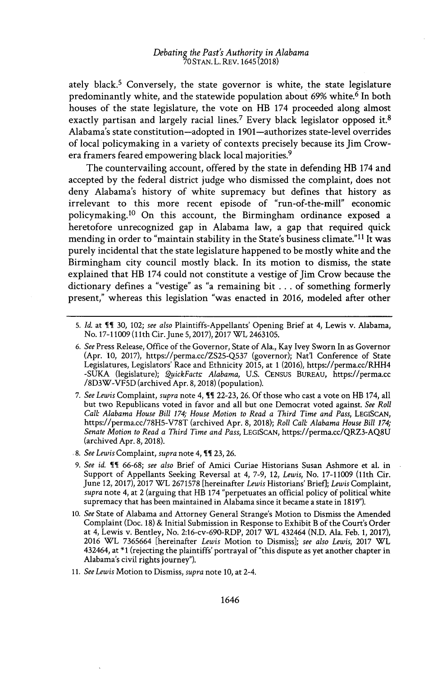ately black.<sup>5</sup> Conversely, the state governor is white, the state legislature predominantly white, and the statewide population about **69%** white.<sup>6</sup>In both houses of the state legislature, the vote on HB 174 proceeded along almost exactly partisan and largely racial lines.<sup>7</sup> Every black legislator opposed it.<sup>8</sup> Alabama's state constitution-adopted in 1901-authorizes state-level overrides of local policymaking in a variety of contexts precisely because its Jim Crowera framers feared empowering black local majorities.<sup>9</sup>

The countervailing account, offered **by** the state in defending HB 174 and accepted **by** the federal district judge who dismissed the complaint, does not deny Alabama's history of white supremacy but defines that history as irrelevant to this more recent episode of "run-of-the-mill" economic policymaking.<sup>10</sup> On this account, the Birmingham ordinance exposed a heretofore unrecognized gap in Alabama law, a gap that required quick mending in order to "maintain stability in the State's business climate."<sup>11</sup> It was purely incidental that the state legislature happened to be mostly white and the Birmingham city council mostly black. In its motion to dismiss, the state explained that HB 174 could not constitute a vestige of Jim Crow because the dictionary defines a "vestige" as "a remaining bit **. . .** of something formerly present," whereas this legislation "was enacted in **2016,** modeled after other

- **6.** *See* Press Release, Office of the Governor, State of Ala., Kay Ivey Sworn In as Governor (Apr. **10, 2017),** https://perma.cc/ZS25-Q537 (governor); Natl Conference of State Legislatures, Legislators' Race and Ethnicity **2015,** at **1 (2016),** https://perma.cc/RHH4 **-SUKA** (legislature); *ZuickFacts Alabama,* **U.S.** CENsus **BUREAU,** https://perma.cc /8D3W-VF5D (archived Apr. **8, 2018)** (population).
- **7.** *See Lewis Complaint, supra* note 4, **It 22-23, 26. Of** those who cast a vote on HB 174, all but two Republicans voted in favor and all but one Democrat voted against. *See Roll Calb Alabama House Bill 174; House Motion to Read a Third Time and Pass,* LEGISCAN, https://perma.cc/78H5-V78T (archived Apr. **8, 2018);** *Roll Calb Alabama House Bill 174; Senate Motion to Read a Third Time and Pass,* **LEGISCAN,** https://perma.cc/QRZ3-AQ8U (archived Apr. **8, 2018).**
- **8.** *See Lewis Complaint, supra* note 4, **It 23, 26.**
- **9.** *See id.* **IT 66-68;** *see also* Brief of Amici Curiae Historians Susan Ashmore et al. in Support of Appellants Seeking Reversal at 4, **7-9,** 12, *Lewis,* No. **17-11009** (11th Cir. June 12, **2017), 2017** WL **2671578** [hereinafter *Lewis* Historians' BriefJ; *Lewis* Complaint, *supra* note 4, at 2 (arguing that HB 174 "perpetuates an official policy of political white supremacy that has been maintained in Alabama since it became a state in **1819").**
- **10.** *See* State of Alabama and Attorney General Strange's Motion to Dismiss the Amended Complaint (Doc. **18) &** Initial Submission in Response to Exhibit B of the Court's Order at 4, Lewis v. Bentley, No. 2:16-cv-690-RDP, **2017** WL 432464 **(N.D.** Ala. Feb. **1, 2017), 2016** WL **7365664** [hereinafter *Lewis* Motion to Dismiss]; *see also Lewis,* **2017** WL 432464, at **\*1** (rejecting the plaintiffs' portrayal of "this dispute as yet another chapter in Alabama's civil rights journey").
- *11. See Lewis* Motion to Dismiss, *supra* note **10,** at 2-4.

**<sup>5.</sup>** *Id.* at I **30,** 102; *see also* Plaintiffs-Appellants' Opening Brief at 4, Lewis v. Alabama, No. **17-11009 (11th** Cir.June **5, 2017), 2017** WL **2463105.**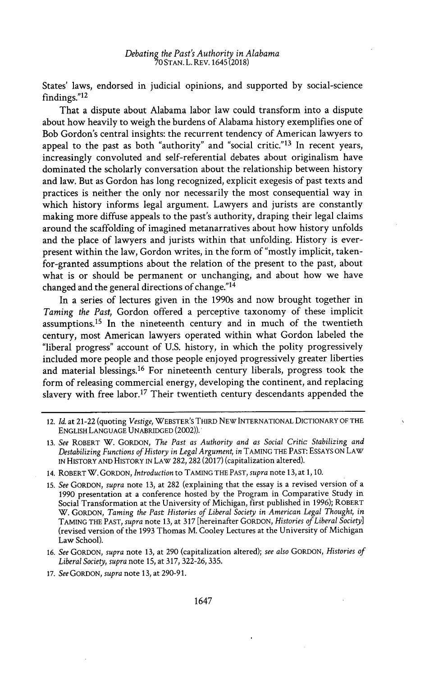States' laws, endorsed in judicial opinions, and supported **by** social-science findings."<sup>12</sup>

That a dispute about Alabama labor law could transform into a dispute about how heavily to weigh the burdens of Alabama history exemplifies one of Bob Gordon's central insights: the recurrent tendency of American lawyers to appeal to the past as both "authority" and "social critic."<sup>13</sup> In recent years, increasingly convoluted and self-referential debates about originalism have dominated the scholarly conversation about the relationship between history and law. But as Gordon has long recognized, explicit exegesis of past texts and practices is neither the only nor necessarily the most consequential way in which history informs legal argument. Lawyers and jurists are constantly making more diffuse appeals to the past's authority, draping their legal claims around the scaffolding of imagined metanarratives about how history unfolds and the place of lawyers and jurists within that unfolding. History is everpresent within the law, Gordon writes, in the form of "mostly implicit, takenfor-granted assumptions about the relation of the present to the past, about what is or should be permanent or unchanging, and about how we have changed and the general directions of change."<sup>14</sup>

In a series of lectures given in the 1990s and now brought together in *Taming the Past,* Gordon offered a perceptive taxonomy of these implicit assumptions.<sup>15</sup> In the nineteenth century and in much of the twentieth century, most American lawyers operated within what Gordon labeled the "liberal progress" account of **U.S.** history, in which the polity progressively included more people and those people enjoyed progressively greater liberties and material blessings.<sup>16</sup> For nineteenth century liberals, progress took the form of releasing commercial energy, developing the continent, and replacing slavery with free labor.<sup>17</sup> Their twentieth century descendants appended the

14. ROBERT W. GORDON, *Introduction* to **TAMING** THE **PAST,** *supra* note **13,** at **1, 10.**

15. *See GORDON, supra* note **13,** at **282** (explaining that the essay is a revised version of a **1990** presentation at a conference hosted **by** the Program in Comparative Study in Social Transformation at the University of Michigan, first published in **1996);** ROBERT W. GORDON, *Taming the Past Histories of Liberal Society in American Legal Thought, in* **TAMING** THE **PAST,** *supra* note **13,** at **317** [hereinafter GORDON, *Histories of Liberal Society]* (revised version of the **1993** Thomas M. Cooley Lectures at the University of Michigan Law School).

- *16. See GORDON, supra* note **13,** at **290** (capitalization altered); *see also GORDON, Histories of Liberal Society, supra* note **15,** at **317, 322-26, 335.**
- *17. See GORDON, supra* note **13,** at **290-91.**

<sup>12.</sup> *Id.* at 21-22 (quoting *Vestige,* WEBSTER'S THIRD **NEW INTERNATIONAL** DICTIONARY OF THE ENGLISH **LANGUAGE** UNABRIDGED (2002)).

**<sup>13.</sup>** *See* ROBERT W. GORDON, *The Past as Authority and as Social Critic Stabilizing and Destabilizing Functions ofHistory in Legal Argument, in* **TAMING** THE **PAST: ESSAYS ON LAW IN** HISTORY **AND** HISTORY **IN** LAW **282, 282 (2017)** (capitalization altered).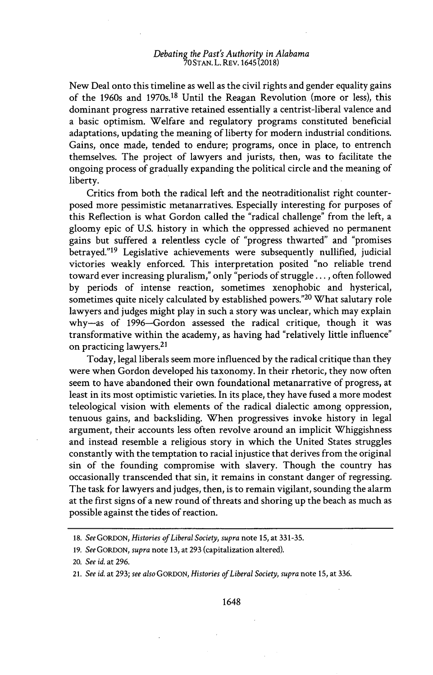New Deal onto this timeline as well as the civil rights and gender equality gains of the 1960s and 1970s.18 Until the Reagan Revolution (more or less), this dominant progress narrative retained essentially a centrist-liberal valence and a basic optimism. Welfare and regulatory programs constituted beneficial adaptations, updating the meaning of liberty for modern industrial conditions. Gains, once made, tended to endure; programs, once in place, to entrench themselves. The project of lawyers and jurists, then, was to facilitate the ongoing process of gradually expanding the political circle and the meaning of liberty.

Critics from both the radical left and the neotraditionalist right counterposed more pessimistic metanarratives. Especially interesting for purposes of this Reflection is what Gordon called the "radical challenge" from the left, a gloomy epic of **U.S.** history in which the oppressed achieved no permanent gains but suffered a relentless cycle of "progress thwarted" and "promises betrayed."<sup>19</sup> Legislative achievements were subsequently nullified, judicial victories weakly enforced. This interpretation posited "no reliable trend toward ever increasing pluralism," only "periods of struggle..., often followed **by** periods of intense reaction, sometimes xenophobic and hysterical, sometimes quite nicely calculated **by** established powers."<sup>20</sup>What salutary role lawyers and judges might play in such a story was unclear, which may explain why-as of 1996-Gordon assessed the radical critique, though it was transformative within the academy, as having had "relatively little influence" on practicing lawyers.<sup>21</sup>

Today, legal liberals seem more influenced **by** the radical critique than they were when Gordon developed his taxonomy. In their rhetoric, they now often seem to have abandoned their own foundational metanarrative of progress, at least in its most optimistic varieties. In its place, they have fused a more modest teleological vision with elements of the radical dialectic among oppression, tenuous gains, and backsliding. When progressives invoke history in legal argument, their accounts less often revolve around an implicit Whiggishness and instead resemble a religious story in which the United States struggles constantly with the temptation to racial injustice that derives from the original sin of the founding compromise with slavery. Though the country has occasionally transcended that sin, it remains in constant danger of regressing. The task for lawyers and judges, then, is to remain vigilant, sounding the alarm at the first signs of a new round of threats and shoring up the beach as much as possible against the tides of reaction.

*<sup>18.</sup> See GORDON, Histories of Liberal Society, supra* note **15,** at **331-35.**

*<sup>19.</sup> See GORDON, supra* note **13,** at **293** (capitalization altered).

*<sup>20.</sup> See id.* at **296.**

*<sup>21.</sup> See id.* at **293;** *see also GORDON, Histories of Liberal Society, supra* note **15,** at **336.**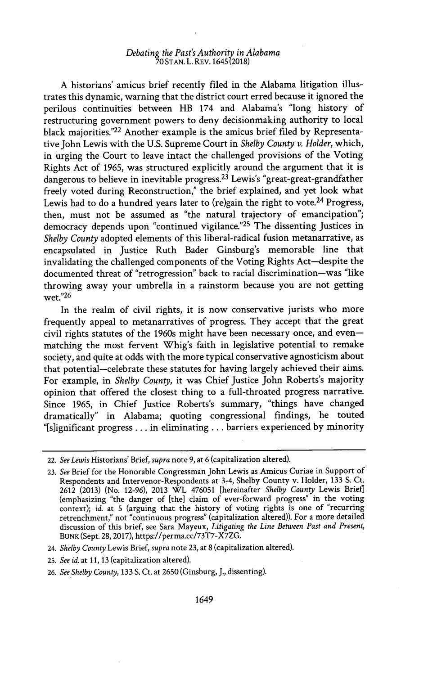**A** historians' amicus brief recently filed in the Alabama litigation illustrates this dynamic, warning that the district court erred because it ignored the perilous continuities between HB 174 and Alabama's "long history of restructuring government powers to deny decisionmaking authority to local black majorities."<sup>22</sup>Another example is the amicus brief filed **by** Representative John Lewis with the **U.S.** Supreme Court in *Shelby County v. Holder,* which, in urging the Court to leave intact the challenged provisions of the Voting Rights Act of **1965,** was structured explicitly around the argument that it is dangerous to believe in inevitable progress.<sup>23</sup> Lewis's "great-great-grandfather freely voted during Reconstruction," the brief explained, and yet look what Lewis had to do a hundred years later to (re)gain the right to vote.<sup>24</sup> Progress, then, must not be assumed as "the natural trajectory of emancipation"; democracy depends upon "continued vigilance."<sup>25</sup> The dissenting Justices in *Shelby County* adopted elements of this liberal-radical fusion metanarrative, as encapsulated in Justice Ruth Bader Ginsburg's memorable line that invalidating the challenged components of the Voting Rights Act-despite the documented threat of "retrogression" back to racial discrimination-was "like throwing away your umbrella in a rainstorm because you are not getting wet."<sup>26</sup>

In the realm of civil rights, it is now conservative jurists who more frequently appeal to metanarratives of progress. They accept that the great civil rights statutes of the 1960s might have been necessary once, and evenmatching the most fervent Whig's faith in legislative potential to remake society, and quite at odds with the more typical conservative agnosticism about that potential-celebrate these statutes for having largely achieved their aims. For example, in *Shelby County,* it was Chief Justice John Roberts's majority opinion that offered the closest thing to a full-throated progress narrative. Since **1965,** in Chief Justice Roberts's summary, "things have changed dramatically" in Alabama; quoting congressional findings, he touted "[s]ignificant progress **. ..** in eliminating **...** barriers experienced **by** minority

<sup>22.</sup> *See Lewis* Historians' Brief, *supra* note **9,** at **6** (capitalization altered).

**<sup>23.</sup>** *See* Brief for the Honorable Congressman John Lewis as Amicus Curiae in Support of Respondents and Intervenor-Respondents at 3-4, Shelby County v. Holder, **133 S.** Ct. **2612 (2013)** (No. **12-96), 2013** WL **476051** [hereinafter *Shelby County* Lewis Brief] (emphasizing "the danger of [the] claim of ever-forward progress" in the voting context); *id.* at **5** (arguing that the history of voting rights is one of "recurring retrenchment," not "continuous progress" (capitalization altered)). For a more detailed discussion of this brief, see Sara Mayeux, *Litigating the Line Between Past and Present,* **BUNK** (Sept. **28, 2017),** https://perma.cc/73T7-X7ZG.

*<sup>24.</sup> Shelby County* Lewis Brief, *supra* note **23,** at **8** (capitalization altered).

**<sup>25.</sup>** *See id.* at **11, 13** (capitalization altered).

*<sup>26.</sup> See Shelby County,* **133 S.** Ct. at **2650** (Ginsburg, **J.,** dissenting).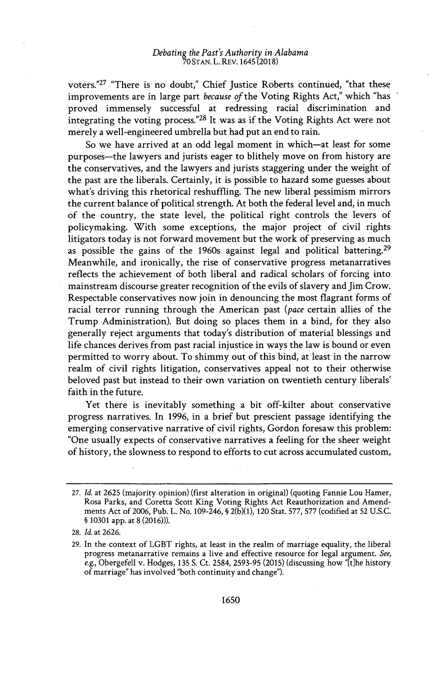voters."<sup>27</sup> "There is no doubt," Chief Justice Roberts continued, "that these improvements are in large part *because of* the Voting Rights Act," which "has proved immensely successful at redressing racial discrimination and integrating the voting process."<sup>28</sup> It was as if the Voting Rights Act were not merely a well-engineered umbrella but had put an end to rain.

So we have arrived at an odd legal moment in which-at least for some purposes-the lawyers and jurists eager to blithely move on from history are the conservatives, and the lawyers and jurists staggering under the weight of the past are the liberals. Certainly, it is possible to hazard some guesses about what's driving this rhetorical reshuffling. The new liberal pessimism mirrors the current balance of political strength. At both the federal level and, in much of the country, the state level, the political right controls the levers of policymaking. With some exceptions, the major project of civil rights litigators today is not forward movement but the work of preserving as much as possible the gains of the 1960s against legal and political battering.<sup>29</sup> Meanwhile, and ironically, the rise of conservative progress metanarratives reflects the achievement of both liberal and radical scholars of forcing into mainstream discourse greater recognition of the evils of slavery and Jim Crow. Respectable conservatives now join in denouncing the most flagrant forms of racial terror running through the American past *(pace* certain allies of the Trump Administration). But doing so places them in a bind, for they also generally reject arguments that today's distribution of material blessings and life chances derives from past racial injustice in ways the law is bound or even permitted to worry about. To shimmy out of this bind, at least in the narrow realm of civil rights litigation, conservatives appeal not to their otherwise beloved past but instead to their own variation on twentieth century liberals' faith in the future.

Yet there is inevitably something a bit off-kilter about conservative progress narratives. In **1996,** in a brief but prescient passage identifying the emerging conservative narrative of civil rights, Gordon foresaw this problem: "One usually expects of conservative narratives a feeling for the sheer weight of history, the slowness to respond to efforts to cut across accumulated custom,

**<sup>27.</sup>** *Id.* at **2625** (majority opinion) (first alteration in original) (quoting Fannie Lou Hamer, Rosa Parks, and Coretta Scott King Voting Rights Act Reauthorization and Amendments Act of **2006,** Pub. L. No. 109-246, **§ 2(b)(1),** 120 Stat. **577, 577** (codified at **52 U.S.C. § 10301** app. at **8 (2016))).**

**<sup>28.</sup>** *Id.* at **2626.**

**<sup>29.</sup>** In the context of LGBT rights, at least in the realm of marriage equality, the liberal progress metanarrative remains a live and effective resource for legal argument. *See,* e.g., Obergefell v. Hodges, **135 S.** Ct. 2584, **2593-95 (2015)** (discussing how "[t]he history of marriage" has involved "both continuity and change").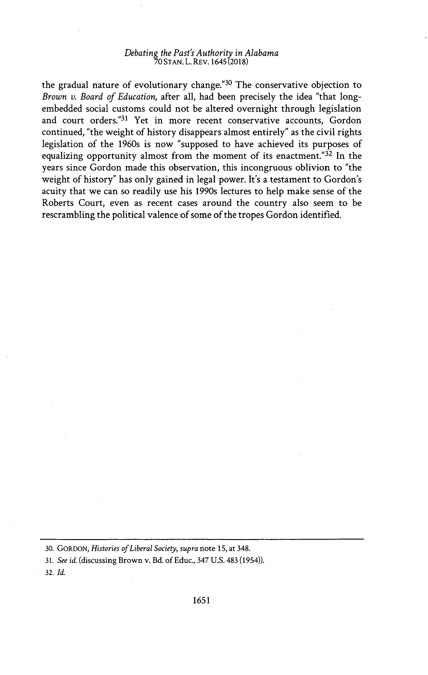the gradual nature of evolutionary change.<sup>"30</sup> The conservative objection to *Brown v. Board of Education,* after all, had been precisely the idea "that longembedded social customs could not be altered overnight through legislation and court orders."31 Yet in more recent conservative accounts, Gordon continued, "the weight of history disappears almost entirely" as the civil rights legislation of the 1960s is now "supposed to have achieved its purposes of equalizing opportunity almost from the moment of its enactment." $32$  In the years since Gordon made this observation, this incongruous oblivion to "the weight of history" has only gained in legal power. It's a testament to Gordon's acuity that we can so readily use his 1990s lectures to help make sense of the Roberts Court, even as recent cases around the country also seem to be rescrambling the political valence of some of the tropes Gordon identified.

**32.** *Id.*

**<sup>30.</sup>** GORDON, *Histories of Liberal Society, supra* note **15,** at 348.

*<sup>31.</sup> See id.* (discussing Brown v. Bd. of Educ., 347 **U.S.** 483 (1954)).